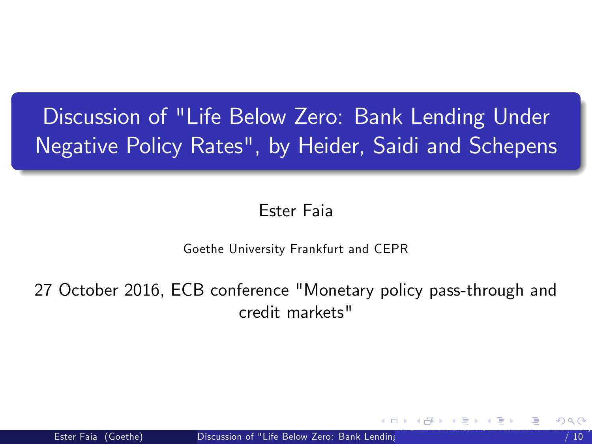## Discussion of "Life Below Zero: Bank Lending Under Negative Policy Rates", by Heider, Saidi and Schepens

## <span id="page-0-0"></span>Ester Faia

## Goethe University Frankfurt and CEPR

27 October 2016, ECB conference "Monetary policy pass-through and credit markets"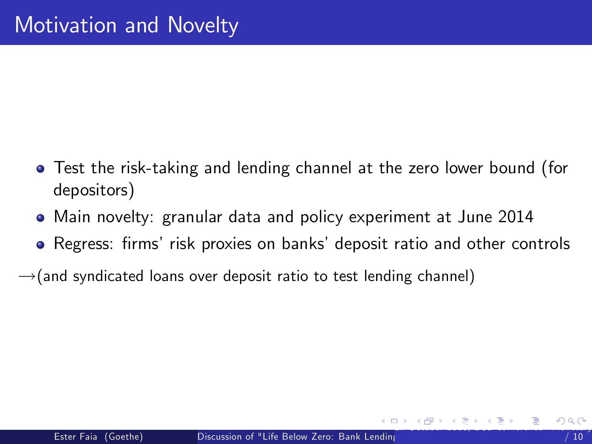- Test the risk-taking and lending channel at the zero lower bound (for depositors)
- Main novelty: granular data and policy experiment at June 2014
- <span id="page-1-0"></span>• Regress: firms' risk proxies on banks' deposit ratio and other controls
- $\rightarrow$  (and syndicated loans over deposit ratio to test lending channel)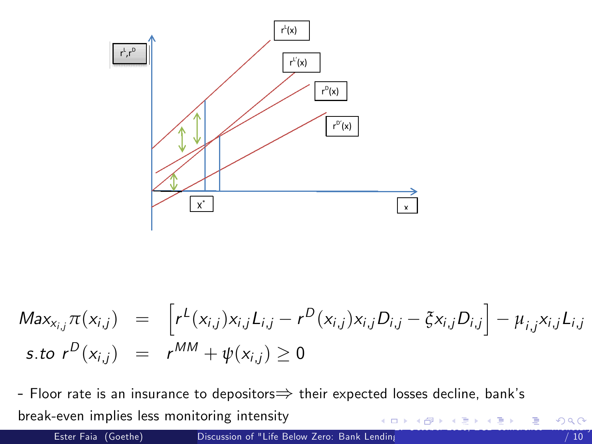

$$
Max_{x_{i,j}}\pi(x_{i,j}) = [r^L(x_{i,j})x_{i,j}L_{i,j} - r^D(x_{i,j})x_{i,j}D_{i,j} - \xi x_{i,j}D_{i,j}] - \mu_{i,j}x_{i,j}L_{i,j}
$$
  
s.to  $r^D(x_{i,j}) = r^{MM} + \psi(x_{i,j}) \ge 0$ 

- Floor rate is an insurance to depositors $\Rightarrow$  their expected losses decline, bank's break-even implies less monitoring intensity 2[7](#page-3-0) [Oc](#page-1-0)[tob](#page-2-0)[er](#page-3-0) [20](#page-1-0)[16,](#page-2-0) [E](#page-3-0)[CB](#page-0-0) [c](#page-1-0)[o](#page-2-0)[nfe](#page-3-0)[ren](#page-0-0)[ce "M](#page-9-0)onetary policy pass-through and credit markets" 3

<span id="page-2-0"></span>

Ester Faia (Goethe) Discussion of "Life Below Zero: Bank Lending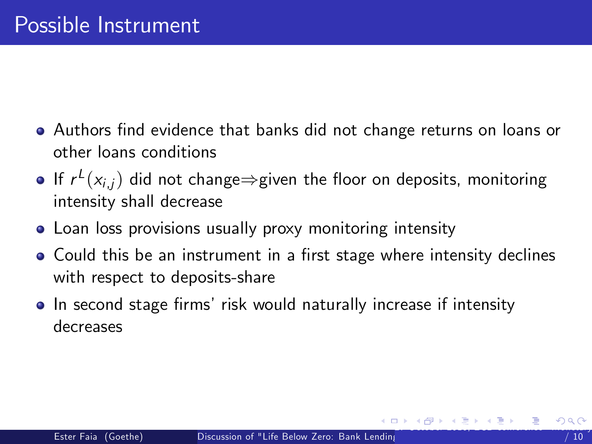- Authors find evidence that banks did not change returns on loans or other loans conditions
- If  $r^L(x_{i,i})$  did not change  $\Rightarrow$  given the floor on deposits, monitoring intensity shall decrease
- Loan loss provisions usually proxy monitoring intensity
- Could this be an instrument in a first stage where intensity declines with respect to deposits-share
- In second stage firms' risk would naturally increase if intensity decreases

<span id="page-3-0"></span>す 御 メ す ま メ イ 語 メート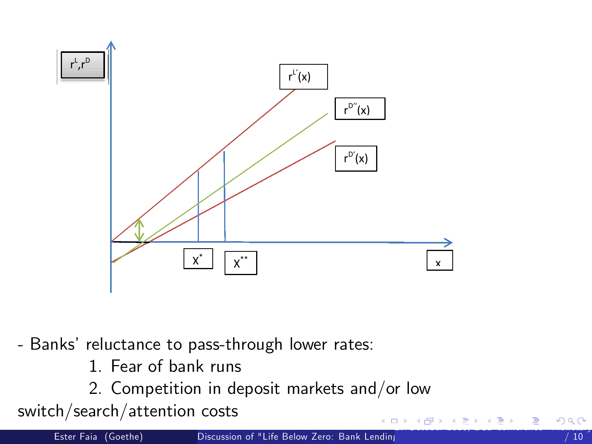

- Banks' reluctance to pass-through lower rates:

1. Fear of bank runs

2. Competition in deposit markets and/or low

switch/search/attention costs

 $\leftarrow$ 

<span id="page-4-0"></span>э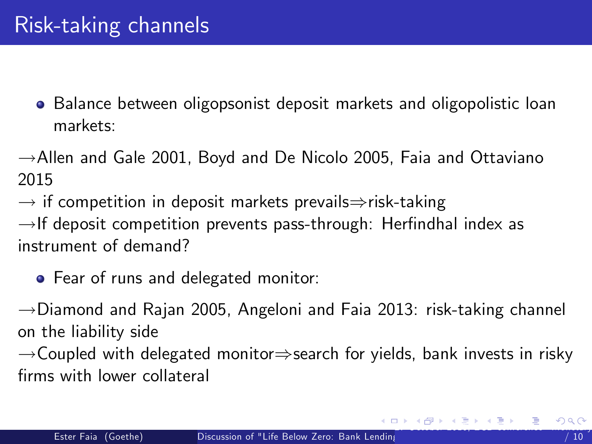- Balance between oligopsonist deposit markets and oligopolistic loan markets:
- $\rightarrow$  Allen and Gale 2001, Boyd and De Nicolo 2005, Faia and Ottaviano 2015
- $\rightarrow$  if competition in deposit markets prevails $\Rightarrow$ risk-taking
- $\rightarrow$ If deposit competition prevents pass-through: Herfindhal index as instrument of demand?
	- Fear of runs and delegated monitor:
- $\rightarrow$ Diamond and Rajan 2005, Angeloni and Faia 2013: risk-taking channel on the liability side
- $\rightarrow$  Coupled with delegated monitor  $\Rightarrow$  search for yields, bank invests in risky firms with lower collateral

<span id="page-5-0"></span>メロメ メ都 メメ 急 メメ 急 メー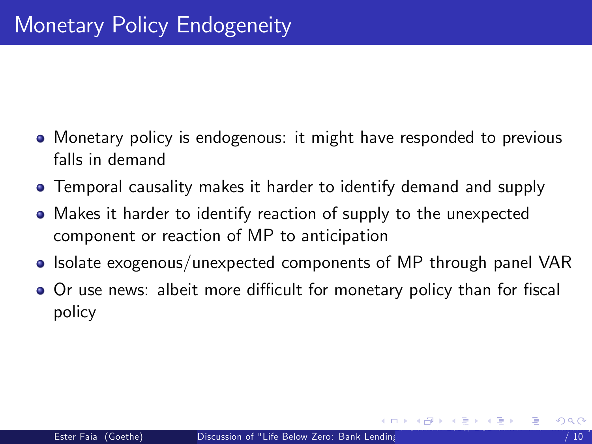- Monetary policy is endogenous: it might have responded to previous falls in demand
- Temporal causality makes it harder to identify demand and supply
- Makes it harder to identify reaction of supply to the unexpected component or reaction of MP to anticipation
- Isolate exogenous/unexpected components of MP through panel VAR
- Or use news: albeit more difficult for monetary policy than for fiscal policy

<span id="page-6-0"></span>∢何 ▶ ∢ ヨ ▶ ∢ ヨ ▶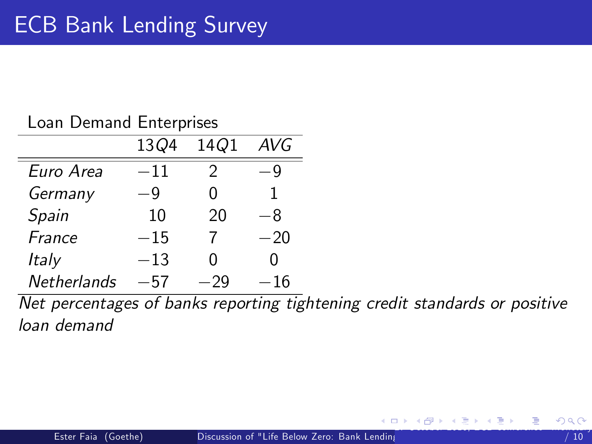| <b>Loan Demand Enterprises</b> |       |                |              |
|--------------------------------|-------|----------------|--------------|
|                                | 13Q4  | 14Q1           | AVG          |
| Euro Area                      | $-11$ | 2              | ٠Q           |
| Germany                        | -9    | 0              | 1            |
| Spain                          | 10    | 20             | -8           |
| France                         | $-15$ | $\overline{7}$ | $-20$        |
| Italy                          | $-13$ | 0              | 0            |
| Netherlands                    | $-57$ |                | $^{\rm -16}$ |
|                                |       | $\cdot$        |              |

<span id="page-7-0"></span>Net percentages of banks reporting tightening credit standards or positive loan demand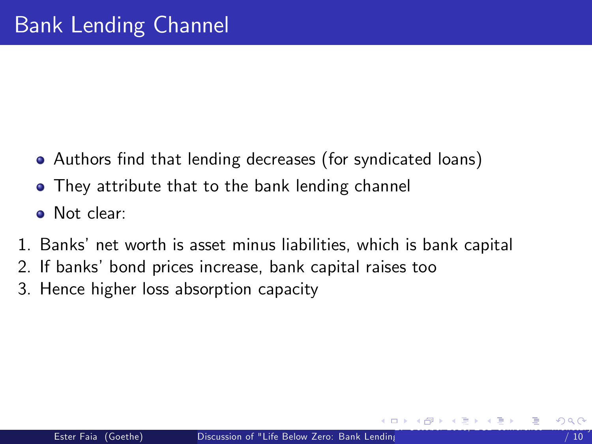- Authors find that lending decreases (for syndicated loans)
- They attribute that to the bank lending channel
- Not clear:
- 1. Banks' net worth is asset minus liabilities, which is bank capital
- 2. If banks' bond prices increase, bank capital raises too
- 3. Hence higher loss absorption capacity

<span id="page-8-0"></span>